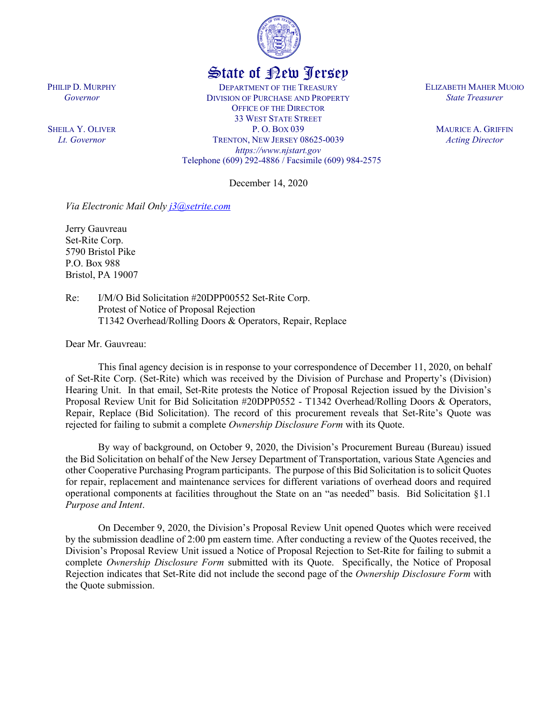

## State of New Jersey

DEPARTMENT OF THE TREASURY DIVISION OF PURCHASE AND PROPERTY OFFICE OF THE DIRECTOR 33 WEST STATE STREET P. O. BOX 039 TRENTON, NEW JERSEY 08625-0039 *https://www.njstart.gov* Telephone (609) 292-4886 / Facsimile (609) 984-2575

December 14, 2020

*Via Electronic Mail Only [j3@setrite.com](mailto:j3@setrite.com)*

Jerry Gauvreau Set-Rite Corp. 5790 Bristol Pike P.O. Box 988 Bristol, PA 19007

PHILIP D. MURPHY *Governor*

SHEILA Y. OLIVER *Lt. Governor*

> Re: I/M/O Bid Solicitation #20DPP00552 Set-Rite Corp. Protest of Notice of Proposal Rejection T1342 Overhead/Rolling Doors & Operators, Repair, Replace

Dear Mr. Gauvreau:

This final agency decision is in response to your correspondence of December 11, 2020, on behalf of Set-Rite Corp. (Set-Rite) which was received by the Division of Purchase and Property's (Division) Hearing Unit. In that email, Set-Rite protests the Notice of Proposal Rejection issued by the Division's Proposal Review Unit for Bid Solicitation #20DPP0552 - T1342 Overhead/Rolling Doors & Operators, Repair, Replace (Bid Solicitation). The record of this procurement reveals that Set-Rite's Quote was rejected for failing to submit a complete *Ownership Disclosure Form* with its Quote.

By way of background, on October 9, 2020, the Division's Procurement Bureau (Bureau) issued the Bid Solicitation on behalf of the New Jersey Department of Transportation, various State Agencies and other Cooperative Purchasing Program participants. The purpose of this Bid Solicitation is to solicit Quotes for repair, replacement and maintenance services for different variations of overhead doors and required operational components at facilities throughout the State on an "as needed" basis. Bid Solicitation §1.1 *Purpose and Intent*.

On December 9, 2020, the Division's Proposal Review Unit opened Quotes which were received by the submission deadline of 2:00 pm eastern time. After conducting a review of the Quotes received, the Division's Proposal Review Unit issued a Notice of Proposal Rejection to Set-Rite for failing to submit a complete *Ownership Disclosure Form* submitted with its Quote. Specifically, the Notice of Proposal Rejection indicates that Set-Rite did not include the second page of the *Ownership Disclosure Form* with the Quote submission.

ELIZABETH MAHER MUOIO *State Treasurer*

> MAURICE A. GRIFFIN *Acting Director*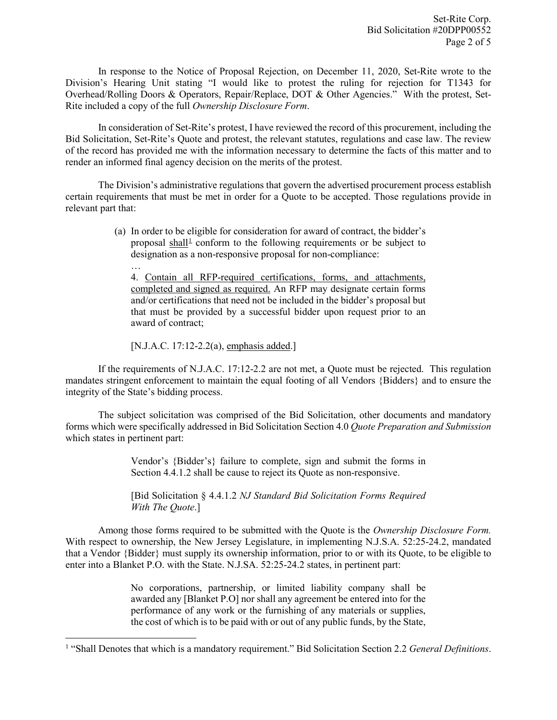In response to the Notice of Proposal Rejection, on December 11, 2020, Set-Rite wrote to the Division's Hearing Unit stating "I would like to protest the ruling for rejection for T1343 for Overhead/Rolling Doors & Operators, Repair/Replace, DOT & Other Agencies." With the protest, Set-Rite included a copy of the full *Ownership Disclosure Form*.

In consideration of Set-Rite's protest, I have reviewed the record of this procurement, including the Bid Solicitation, Set-Rite's Quote and protest, the relevant statutes, regulations and case law. The review of the record has provided me with the information necessary to determine the facts of this matter and to render an informed final agency decision on the merits of the protest.

The Division's administrative regulations that govern the advertised procurement process establish certain requirements that must be met in order for a Quote to be accepted. Those regulations provide in relevant part that:

> (a) In order to be eligible for consideration for award of contract, the bidder's proposal shall<sup>[1](#page-1-0)</sup> conform to the following requirements or be subject to designation as a non-responsive proposal for non-compliance:

… 4. Contain all RFP-required certifications, forms, and attachments, completed and signed as required. An RFP may designate certain forms and/or certifications that need not be included in the bidder's proposal but that must be provided by a successful bidder upon request prior to an award of contract;

[N.J.A.C. 17:12-2.2(a), emphasis added.]

l

If the requirements of N.J.A.C. 17:12-2.2 are not met, a Quote must be rejected. This regulation mandates stringent enforcement to maintain the equal footing of all Vendors {Bidders} and to ensure the integrity of the State's bidding process.

The subject solicitation was comprised of the Bid Solicitation, other documents and mandatory forms which were specifically addressed in Bid Solicitation Section 4.0 *Quote Preparation and Submission* which states in pertinent part:

> Vendor's {Bidder's} failure to complete, sign and submit the forms in Section 4.4.1.2 shall be cause to reject its Quote as non-responsive.

> [Bid Solicitation § 4.4.1.2 *NJ Standard Bid Solicitation Forms Required With The Quote*.]

Among those forms required to be submitted with the Quote is the *Ownership Disclosure Form.*  With respect to ownership, the New Jersey Legislature, in implementing N.J.S.A. 52:25-24.2, mandated that a Vendor {Bidder} must supply its ownership information, prior to or with its Quote, to be eligible to enter into a Blanket P.O. with the State. N.J.SA. 52:25-24.2 states, in pertinent part:

> No corporations, partnership, or limited liability company shall be awarded any [Blanket P.O] nor shall any agreement be entered into for the performance of any work or the furnishing of any materials or supplies, the cost of which is to be paid with or out of any public funds, by the State,

<span id="page-1-0"></span><sup>1</sup> "Shall Denotes that which is a mandatory requirement." Bid Solicitation Section 2.2 *General Definitions*.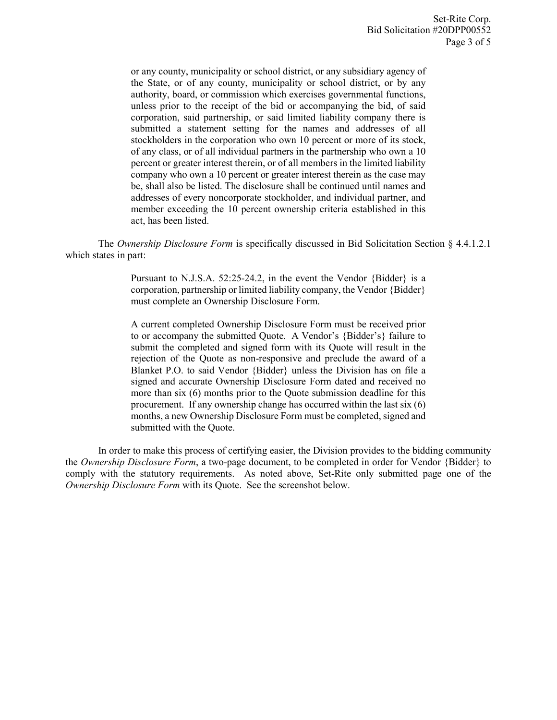or any county, municipality or school district, or any subsidiary agency of the State, or of any county, municipality or school district, or by any authority, board, or commission which exercises governmental functions, unless prior to the receipt of the bid or accompanying the bid, of said corporation, said partnership, or said limited liability company there is submitted a statement setting for the names and addresses of all stockholders in the corporation who own 10 percent or more of its stock, of any class, or of all individual partners in the partnership who own a 10 percent or greater interest therein, or of all members in the limited liability company who own a 10 percent or greater interest therein as the case may be, shall also be listed. The disclosure shall be continued until names and addresses of every noncorporate stockholder, and individual partner, and member exceeding the 10 percent ownership criteria established in this act, has been listed.

The *Ownership Disclosure Form* is specifically discussed in Bid Solicitation Section § 4.4.1.2.1 which states in part:

> Pursuant to N.J.S.A. 52:25-24.2, in the event the Vendor {Bidder} is a corporation, partnership or limited liability company, the Vendor {Bidder} must complete an Ownership Disclosure Form.

> A current completed Ownership Disclosure Form must be received prior to or accompany the submitted Quote. A Vendor's {Bidder's} failure to submit the completed and signed form with its Quote will result in the rejection of the Quote as non-responsive and preclude the award of a Blanket P.O. to said Vendor {Bidder} unless the Division has on file a signed and accurate Ownership Disclosure Form dated and received no more than six (6) months prior to the Quote submission deadline for this procurement. If any ownership change has occurred within the last six (6) months, a new Ownership Disclosure Form must be completed, signed and submitted with the Quote.

In order to make this process of certifying easier, the Division provides to the bidding community the *Ownership Disclosure Form*, a two-page document, to be completed in order for Vendor {Bidder} to comply with the statutory requirements. As noted above, Set-Rite only submitted page one of the *Ownership Disclosure Form* with its Quote. See the screenshot below.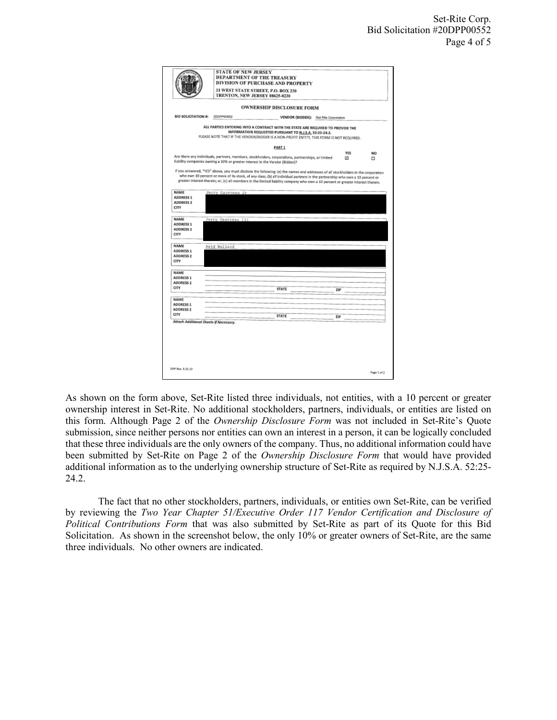|                                                                                                  | 33 WEST STATE STREET, P.O. BOX 230<br>TRENTON, NEW JERSEY 08625-0230 |                                                                              |  |                                                                                                                                                                                                                                                                   |  |            |     |
|--------------------------------------------------------------------------------------------------|----------------------------------------------------------------------|------------------------------------------------------------------------------|--|-------------------------------------------------------------------------------------------------------------------------------------------------------------------------------------------------------------------------------------------------------------------|--|------------|-----|
|                                                                                                  |                                                                      |                                                                              |  | <b>OWNERSHIP DISCLOSURE FORM</b>                                                                                                                                                                                                                                  |  |            |     |
| <b>BID SOLICITATION #:</b>                                                                       |                                                                      | 20DPP00852                                                                   |  | VENDOR (BIDDER): Set-Rite Corporation                                                                                                                                                                                                                             |  |            |     |
|                                                                                                  |                                                                      |                                                                              |  | ALL PARTIES ENTERING INTO A CONTRACT WITH THE STATE ARE REQUIRED TO PROVIDE THE<br>INFORMATION REQUESTED PURSUANT TO N.J.S.A. 52:25-24.2.<br>PLEASE NOTE THAT IF THE VENDOR/BIDDER IS A NON-PROFIT ENTITY, THIS FORM IS NOT REQUIRED.                             |  |            |     |
|                                                                                                  |                                                                      |                                                                              |  | PART 1                                                                                                                                                                                                                                                            |  |            |     |
|                                                                                                  |                                                                      |                                                                              |  |                                                                                                                                                                                                                                                                   |  | <b>YES</b> | NO. |
|                                                                                                  |                                                                      | liability companies owning a 10% or greater interest in the Vendor (Bidder)? |  | Are there any individuals, partners, members, stockholders, corporations, partnerships, or limited                                                                                                                                                                |  | ⊡          | □   |
|                                                                                                  |                                                                      |                                                                              |  |                                                                                                                                                                                                                                                                   |  |            |     |
| NAME                                                                                             |                                                                      | Jerry Gauvreau Jr                                                            |  | who own 10 percent or more of its stock, of any class; (b) all individual partners in the partnership who own a 10 percent or<br>greater interest therein; or, (c) all members in the limited liability company who own a 10 percent or greater interest therein. |  |            |     |
| <b>ADDRESS 1</b>                                                                                 |                                                                      |                                                                              |  |                                                                                                                                                                                                                                                                   |  |            |     |
| <b>ADDRESS 2</b>                                                                                 |                                                                      |                                                                              |  |                                                                                                                                                                                                                                                                   |  |            |     |
| CITY                                                                                             |                                                                      |                                                                              |  |                                                                                                                                                                                                                                                                   |  |            |     |
|                                                                                                  |                                                                      |                                                                              |  |                                                                                                                                                                                                                                                                   |  |            |     |
| NAME                                                                                             |                                                                      | Jerry Gauvreau III                                                           |  |                                                                                                                                                                                                                                                                   |  |            |     |
| <b>ADDRESS 1</b>                                                                                 |                                                                      |                                                                              |  |                                                                                                                                                                                                                                                                   |  |            |     |
| <b>ADDRESS 2</b>                                                                                 |                                                                      |                                                                              |  |                                                                                                                                                                                                                                                                   |  |            |     |
|                                                                                                  |                                                                      |                                                                              |  |                                                                                                                                                                                                                                                                   |  |            |     |
| CITY                                                                                             |                                                                      |                                                                              |  |                                                                                                                                                                                                                                                                   |  |            |     |
|                                                                                                  |                                                                      |                                                                              |  |                                                                                                                                                                                                                                                                   |  |            |     |
|                                                                                                  |                                                                      | Reid Ballard                                                                 |  |                                                                                                                                                                                                                                                                   |  |            |     |
|                                                                                                  |                                                                      |                                                                              |  |                                                                                                                                                                                                                                                                   |  |            |     |
|                                                                                                  |                                                                      |                                                                              |  |                                                                                                                                                                                                                                                                   |  |            |     |
|                                                                                                  |                                                                      |                                                                              |  |                                                                                                                                                                                                                                                                   |  |            |     |
|                                                                                                  |                                                                      |                                                                              |  |                                                                                                                                                                                                                                                                   |  |            |     |
|                                                                                                  |                                                                      |                                                                              |  |                                                                                                                                                                                                                                                                   |  |            |     |
|                                                                                                  |                                                                      |                                                                              |  | <b>STATE</b>                                                                                                                                                                                                                                                      |  |            |     |
|                                                                                                  |                                                                      |                                                                              |  |                                                                                                                                                                                                                                                                   |  | ZIP        |     |
|                                                                                                  |                                                                      |                                                                              |  |                                                                                                                                                                                                                                                                   |  |            |     |
| NAME<br><b>ADDRESS 1</b><br><b>ADDRESS 2</b><br>CITY<br>NAME<br><b>ADORESS 2</b><br>CITY<br>NAME |                                                                      |                                                                              |  |                                                                                                                                                                                                                                                                   |  |            |     |
|                                                                                                  |                                                                      |                                                                              |  |                                                                                                                                                                                                                                                                   |  |            |     |
| ADDRESS 1<br>ADDRESS 1<br><b>ADDRESS 2</b><br>CITY                                               |                                                                      |                                                                              |  | <b>STATE</b>                                                                                                                                                                                                                                                      |  | ZIP        |     |
|                                                                                                  |                                                                      |                                                                              |  |                                                                                                                                                                                                                                                                   |  |            |     |
|                                                                                                  |                                                                      |                                                                              |  |                                                                                                                                                                                                                                                                   |  |            |     |
|                                                                                                  |                                                                      |                                                                              |  |                                                                                                                                                                                                                                                                   |  |            |     |
|                                                                                                  |                                                                      |                                                                              |  |                                                                                                                                                                                                                                                                   |  |            |     |
|                                                                                                  |                                                                      |                                                                              |  |                                                                                                                                                                                                                                                                   |  |            |     |
| Attach Additional Sheets If Necessary.                                                           |                                                                      |                                                                              |  |                                                                                                                                                                                                                                                                   |  |            |     |

As shown on the form above, Set-Rite listed three individuals, not entities, with a 10 percent or greater ownership interest in Set-Rite. No additional stockholders, partners, individuals, or entities are listed on this form. Although Page 2 of the *Ownership Disclosure Form* was not included in Set-Rite's Quote submission, since neither persons nor entities can own an interest in a person, it can be logically concluded that these three individuals are the only owners of the company. Thus, no additional information could have been submitted by Set-Rite on Page 2 of the *Ownership Disclosure Form* that would have provided additional information as to the underlying ownership structure of Set-Rite as required by N.J.S.A. 52:25- 24.2.

The fact that no other stockholders, partners, individuals, or entities own Set-Rite, can be verified by reviewing the *Two Year Chapter 51/Executive Order 117 Vendor Certification and Disclosure of Political Contributions Form* that was also submitted by Set-Rite as part of its Quote for this Bid Solicitation. As shown in the screenshot below, the only 10% or greater owners of Set-Rite, are the same three individuals. No other owners are indicated.